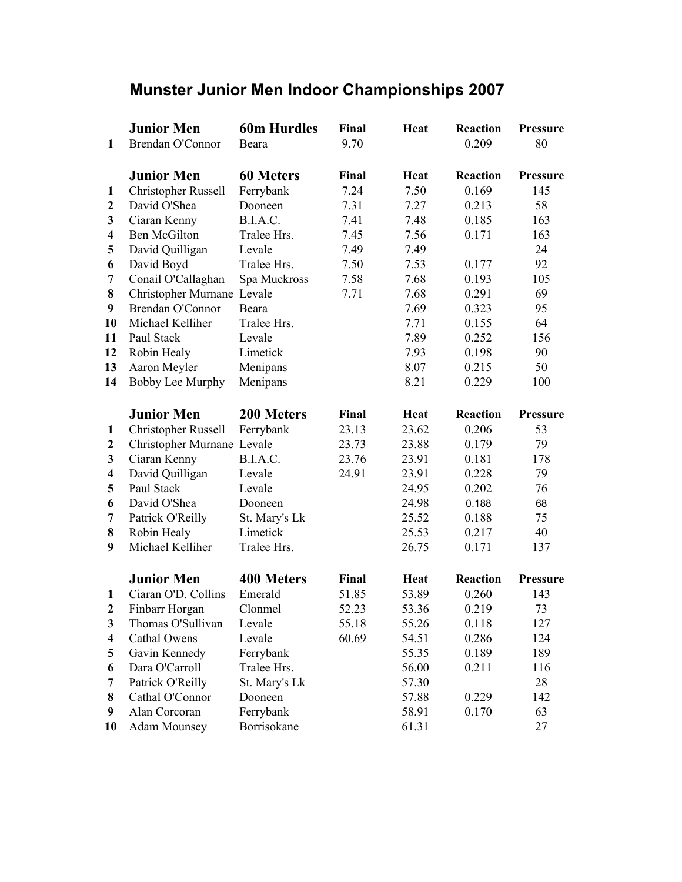| <b>Munster Junior Men Indoor Championships 2007</b> |  |  |  |  |  |
|-----------------------------------------------------|--|--|--|--|--|
|-----------------------------------------------------|--|--|--|--|--|

|                         | <b>Junior Men</b>          | <b>60m Hurdles</b> | Final | <b>Heat</b> | <b>Reaction</b> | <b>Pressure</b> |
|-------------------------|----------------------------|--------------------|-------|-------------|-----------------|-----------------|
| 1                       | Brendan O'Connor           | Beara              | 9.70  |             | 0.209           | 80              |
|                         |                            |                    |       |             |                 |                 |
|                         | <b>Junior Men</b>          | <b>60 Meters</b>   | Final | Heat        | <b>Reaction</b> | <b>Pressure</b> |
| 1                       | <b>Christopher Russell</b> | Ferrybank          | 7.24  | 7.50        | 0.169           | 145             |
| $\mathbf{2}$            | David O'Shea               | Dooneen            | 7.31  | 7.27        | 0.213           | 58              |
| 3                       | Ciaran Kenny               | B.I.A.C.           | 7.41  | 7.48        | 0.185           | 163             |
| $\overline{\mathbf{4}}$ | <b>Ben McGilton</b>        | Tralee Hrs.        | 7.45  | 7.56        | 0.171           | 163             |
| 5                       | David Quilligan            | Levale             | 7.49  | 7.49        |                 | 24              |
| 6                       | David Boyd                 | Tralee Hrs.        | 7.50  | 7.53        | 0.177           | 92              |
| 7                       | Conail O'Callaghan         | Spa Muckross       | 7.58  | 7.68        | 0.193           | 105             |
| 8                       | Christopher Murnane Levale |                    | 7.71  | 7.68        | 0.291           | 69              |
| 9                       | Brendan O'Connor           | Beara              |       | 7.69        | 0.323           | 95              |
| 10                      | Michael Kelliher           | Tralee Hrs.        |       | 7.71        | 0.155           | 64              |
| 11                      | Paul Stack                 | Levale             |       | 7.89        | 0.252           | 156             |
| 12                      | Robin Healy                | Limetick           |       | 7.93        | 0.198           | 90              |
| 13                      | Aaron Meyler               | Menipans           |       | 8.07        | 0.215           | 50              |
| 14                      | Bobby Lee Murphy           | Menipans           |       | 8.21        | 0.229           | 100             |
|                         |                            |                    |       |             |                 |                 |
|                         | <b>Junior Men</b>          | 200 Meters         | Final | Heat        | <b>Reaction</b> | <b>Pressure</b> |
| 1                       | <b>Christopher Russell</b> | Ferrybank          | 23.13 | 23.62       | 0.206           | 53              |
| $\boldsymbol{2}$        | Christopher Murnane Levale |                    | 23.73 | 23.88       | 0.179           | 79              |
| 3                       | Ciaran Kenny               | B.I.A.C.           | 23.76 | 23.91       | 0.181           | 178             |
| $\overline{\mathbf{4}}$ | David Quilligan            | Levale             | 24.91 | 23.91       | 0.228           | 79              |
| 5                       | Paul Stack                 | Levale             |       | 24.95       | 0.202           | 76              |
| 6                       | David O'Shea               | Dooneen            |       | 24.98       | 0.188           | 68              |
| 7                       | Patrick O'Reilly           | St. Mary's Lk      |       | 25.52       | 0.188           | 75              |
| 8                       | Robin Healy                | Limetick           |       | 25.53       | 0.217           | 40              |
| 9                       | Michael Kelliher           | Tralee Hrs.        |       | 26.75       | 0.171           | 137             |
|                         | <b>Junior Men</b>          | <b>400 Meters</b>  | Final | <b>Heat</b> | <b>Reaction</b> | <b>Pressure</b> |
| 1                       | Ciaran O'D. Collins        | Emerald            | 51.85 | 53.89       | 0.260           | 143             |
| $\mathbf{2}$            | Finbarr Horgan             | Clonmel            | 52.23 | 53.36       | 0.219           | 73              |
| 3                       | Thomas O'Sullivan          | Levale             | 55.18 | 55.26       | 0.118           | 127             |
| 4                       | Cathal Owens               | Levale             | 60.69 | 54.51       | 0.286           | 124             |
| 5                       | Gavin Kennedy              | Ferrybank          |       | 55.35       | 0.189           | 189             |
| 6                       | Dara O'Carroll             | Tralee Hrs.        |       | 56.00       | 0.211           | 116             |
| 7                       | Patrick O'Reilly           | St. Mary's Lk      |       | 57.30       |                 | 28              |
| 8                       | Cathal O'Connor            | Dooneen            |       | 57.88       | 0.229           | 142             |
| 9                       | Alan Corcoran              | Ferrybank          |       | 58.91       | 0.170           | 63              |
| 10                      | <b>Adam Mounsey</b>        | Borrisokane        |       | 61.31       |                 | 27              |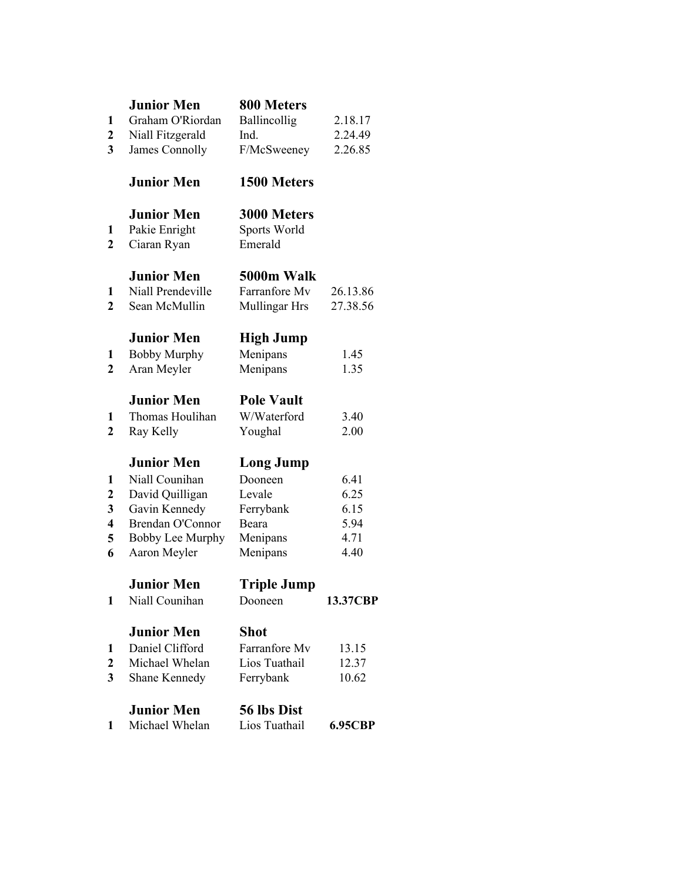| $\mathbf{1}$<br>2<br>$\overline{\mathbf{3}}$ | <b>Junior Men</b><br>Graham O'Riordan<br>Niall Fitzgerald<br>James Connolly | 800 Meters<br>Ballincollig<br>Ind.<br>F/McSweeney | 2.18.17<br>2.24.49<br>2.26.85 |
|----------------------------------------------|-----------------------------------------------------------------------------|---------------------------------------------------|-------------------------------|
|                                              | <b>Junior Men</b>                                                           | 1500 Meters                                       |                               |
| 1<br>2                                       | <b>Junior Men</b><br>Pakie Enright<br>Ciaran Ryan                           | 3000 Meters<br>Sports World<br>Emerald            |                               |
| 1<br>$\overline{2}$                          | <b>Junior Men</b><br>Niall Prendeville<br>Sean McMullin                     | 5000m Walk<br>Farranfore My<br>Mullingar Hrs      | 26.13.86<br>27.38.56          |
| 1<br>$\mathbf{2}$                            | <b>Junior Men</b><br><b>Bobby Murphy</b><br>Aran Meyler                     | <b>High Jump</b><br>Menipans<br>Menipans          | 1.45<br>1.35                  |
| 1<br>$\mathbf{2}$                            | <b>Junior Men</b><br>Thomas Houlihan<br>Ray Kelly                           | <b>Pole Vault</b><br>W/Waterford<br>Youghal       | 3.40<br>2.00                  |
|                                              | <b>Junior Men</b>                                                           | <b>Long Jump</b>                                  |                               |
| 1                                            | Niall Counihan                                                              | Dooneen                                           | 6.41<br>6.25                  |
| $\mathbf 2$<br>3                             | David Quilligan<br>Gavin Kennedy                                            | Levale<br>Ferrybank                               | 6.15                          |
| 4                                            | <b>Brendan O'Connor</b>                                                     | Beara                                             | 5.94                          |
| 5                                            | Bobby Lee Murphy                                                            | Menipans                                          | 4.71                          |
| 6                                            | Aaron Meyler                                                                | Menipans                                          | 4.40                          |
|                                              | Junior Men                                                                  | <b>Triple Jump</b>                                |                               |
| 1                                            | Niall Counihan                                                              | Dooneen                                           | 13.37CBP                      |
|                                              | <b>Junior Men</b>                                                           | <b>Shot</b>                                       |                               |
| 1                                            | Daniel Clifford                                                             | Farranfore Mv                                     | 13.15                         |
| $\mathbf{2}$<br>$\mathbf{3}$                 | Michael Whelan<br>Shane Kennedy                                             | Lios Tuathail<br>Ferrybank                        | 12.37<br>10.62                |
|                                              |                                                                             |                                                   |                               |
|                                              |                                                                             |                                                   |                               |

| <b>Junior Men</b> | 56 lbs Dist   |         |
|-------------------|---------------|---------|
| Michael Whelan    | Lios Tuathail | 6.95CBP |